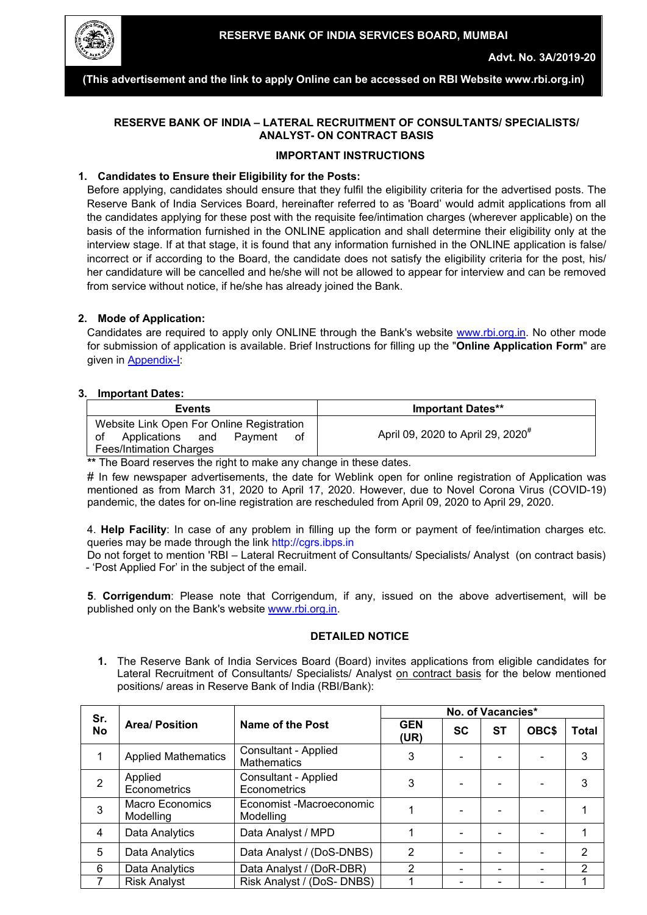

**(This advertisement and the link to apply Online can be accessed on RBI Website www.rbi.org.in)**

### **RESERVE BANK OF INDIA – LATERAL RECRUITMENT OF CONSULTANTS/ SPECIALISTS/ ANALYST- ON CONTRACT BASIS**

### **IMPORTANT INSTRUCTIONS**

### **1. Candidates to Ensure their Eligibility for the Posts:**

Before applying, candidates should ensure that they fulfil the eligibility criteria for the advertised posts. The Reserve Bank of India Services Board, hereinafter referred to as 'Board' would admit applications from all the candidates applying for these post with the requisite fee/intimation charges (wherever applicable) on the basis of the information furnished in the ONLINE application and shall determine their eligibility only at the interview stage. If at that stage, it is found that any information furnished in the ONLINE application is false/ incorrect or if according to the Board, the candidate does not satisfy the eligibility criteria for the post, his/ her candidature will be cancelled and he/she will not be allowed to appear for interview and can be removed from service without notice, if he/she has already joined the Bank.

#### **2. Mode of Application:**

Candidates are required to apply only ONLINE through the Bank's website [www.rbi.org.in.](https://www.rbi.org.in/) No other mode for submission of application is available. Brief Instructions for filling up the "**Online Application Form**" are given in [Appendix-I:](#page-15-0)

#### **3. Important Dates:**

| <b>Events</b>                                                                                                          | <b>Important Dates**</b>                      |
|------------------------------------------------------------------------------------------------------------------------|-----------------------------------------------|
| Website Link Open For Online Registration<br>Applications and<br>Pavment<br>of<br>οt<br><b>Fees/Intimation Charges</b> | April 09, 2020 to April 29, 2020 <sup>#</sup> |

\*\* The Board reserves the right to make any change in these dates.

# In few newspaper advertisements, the date for Weblink open for online registration of Application was mentioned as from March 31, 2020 to April 17, 2020. However, due to Novel Corona Virus (COVID-19) pandemic, the dates for on-line registration are rescheduled from April 09, 2020 to April 29, 2020.

4. **Help Facility**: In case of any problem in filling up the form or payment of fee/intimation charges etc. queries may be made through the link [http://cgrs.ibps.in](https://cgrs.ibps.in/)

 Do not forget to mention 'RBI – Lateral Recruitment of Consultants/ Specialists/ Analyst (on contract basis) - 'Post Applied For' in the subject of the email.

**5**. **Corrigendum**: Please note that Corrigendum, if any, issued on the above advertisement, will be published only on the Bank's website [www.rbi.org.in.](https://www.rbi.org.in/)

### **DETAILED NOTICE**

**1.** The Reserve Bank of India Services Board (Board) invites applications from eligible candidates for Lateral Recruitment of Consultants/ Specialists/ Analyst on contract basis for the below mentioned positions/ areas in Reserve Bank of India (RBI/Bank):

| Sr.            |                              |                                            | No. of Vacancies*  |           |           |              |                |
|----------------|------------------------------|--------------------------------------------|--------------------|-----------|-----------|--------------|----------------|
| <b>No</b>      | <b>Area/ Position</b>        | Name of the Post                           | <b>GEN</b><br>(UR) | <b>SC</b> | <b>ST</b> | <b>OBC\$</b> | Total          |
|                | <b>Applied Mathematics</b>   | Consultant - Applied<br><b>Mathematics</b> | 3                  |           |           |              | 3              |
| $\overline{2}$ | Applied<br>Econometrics      | Consultant - Applied<br>Econometrics       | 3                  |           |           |              | 3              |
| 3              | Macro Economics<br>Modelling | Economist -Macroeconomic<br>Modelling      |                    |           |           |              |                |
| 4              | Data Analytics               | Data Analyst / MPD                         |                    |           |           |              |                |
| 5              | Data Analytics               | Data Analyst / (DoS-DNBS)                  | 2                  |           |           |              | 2              |
| 6              | Data Analytics               | Data Analyst / (DoR-DBR)                   | 2                  |           |           |              | $\overline{2}$ |
|                | <b>Risk Analyst</b>          | Risk Analyst / (DoS- DNBS)                 |                    |           |           |              |                |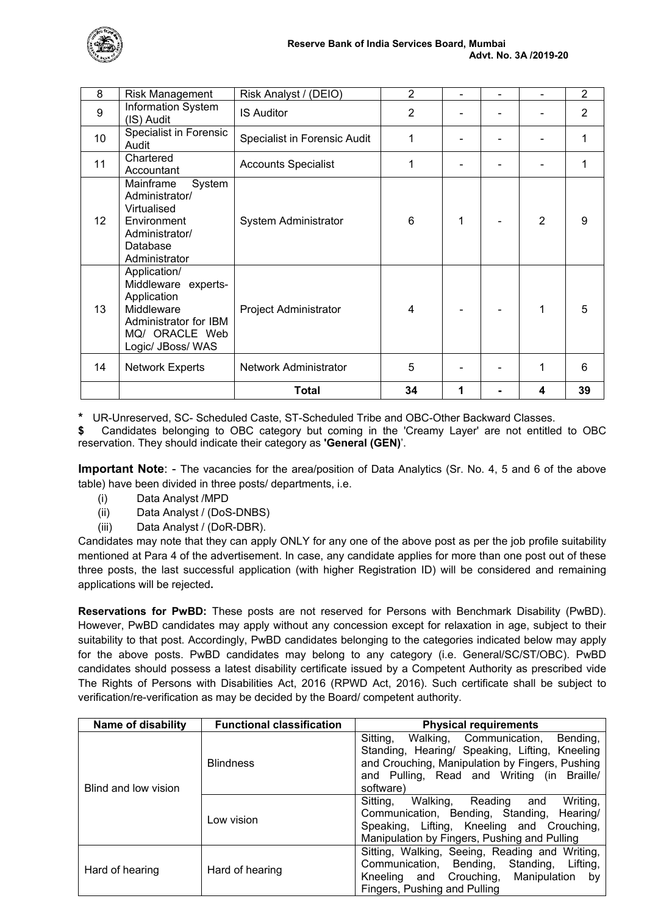

| 8               | <b>Risk Management</b>                                                                                                           | Risk Analyst / (DEIO)        | $\overline{2}$ | $\overline{\phantom{0}}$ | $\blacksquare$ | $\overline{2}$ |
|-----------------|----------------------------------------------------------------------------------------------------------------------------------|------------------------------|----------------|--------------------------|----------------|----------------|
| 9               | Information System<br>(IS) Audit                                                                                                 | <b>IS Auditor</b>            | $\overline{2}$ |                          |                | $\overline{2}$ |
| 10              | Specialist in Forensic<br>Audit                                                                                                  | Specialist in Forensic Audit | 1              |                          |                |                |
| 11              | Chartered<br>Accountant                                                                                                          | <b>Accounts Specialist</b>   | 1              |                          |                |                |
| 12 <sup>2</sup> | Mainframe<br>System<br>Administrator/<br>Virtualised<br>Environment<br>Administrator/<br>Database<br>Administrator               | <b>System Administrator</b>  | 6              | 1                        | 2              | 9              |
| 13              | Application/<br>Middleware experts-<br>Application<br>Middleware<br>Administrator for IBM<br>MQ/ ORACLE Web<br>Logic/ JBoss/ WAS | Project Administrator        | 4              |                          |                | 5              |
| 14              | <b>Network Experts</b>                                                                                                           | Network Administrator        | 5              |                          |                | 6              |
|                 |                                                                                                                                  | <b>Total</b>                 | 34             | 1                        | 4              | 39             |

**\*** UR-Unreserved, SC- Scheduled Caste, ST-Scheduled Tribe and OBC-Other Backward Classes.

**\$** Candidates belonging to OBC category but coming in the 'Creamy Layer' are not entitled to OBC reservation. They should indicate their category as **'General (GEN)**'.

**Important Note**: - The vacancies for the area/position of Data Analytics (Sr. No. 4, 5 and 6 of the above table) have been divided in three posts/ departments, i.e.

- (i) Data Analyst /MPD
- (ii) Data Analyst / (DoS-DNBS)
- (iii) Data Analyst / (DoR-DBR).

Candidates may note that they can apply ONLY for any one of the above post as per the job profile suitability mentioned at Para 4 of the advertisement. In case, any candidate applies for more than one post out of these three posts, the last successful application (with higher Registration ID) will be considered and remaining applications will be rejected**.**

**Reservations for PwBD:** These posts are not reserved for Persons with Benchmark Disability (PwBD). However, PwBD candidates may apply without any concession except for relaxation in age, subject to their suitability to that post. Accordingly, PwBD candidates belonging to the categories indicated below may apply for the above posts. PwBD candidates may belong to any category (i.e. General/SC/ST/OBC). PwBD candidates should possess a latest disability certificate issued by a Competent Authority as prescribed vide The Rights of Persons with Disabilities Act, 2016 (RPWD Act, 2016). Such certificate shall be subject to verification/re-verification as may be decided by the Board/ competent authority.

| <b>Name of disability</b> | <b>Functional classification</b> | <b>Physical requirements</b>                                                                                                                                                                                    |
|---------------------------|----------------------------------|-----------------------------------------------------------------------------------------------------------------------------------------------------------------------------------------------------------------|
| Blind and low vision      | <b>Blindness</b>                 | Sitting,<br>Walking, Communication,<br>Bending,<br>Standing, Hearing/ Speaking, Lifting, Kneeling<br>and Crouching, Manipulation by Fingers, Pushing<br>and Pulling, Read and Writing (in Braille/<br>software) |
|                           | ow vision_                       | Sitting, Walking, Reading and<br>Writing,<br>Communication, Bending, Standing, Hearing/<br>Speaking, Lifting, Kneeling and Crouching,<br>Manipulation by Fingers, Pushing and Pulling                           |
| Hard of hearing           | Hard of hearing                  | Sitting, Walking, Seeing, Reading and Writing,<br>Communication, Bending, Standing,<br>Lifting,<br>Manipulation<br>Kneeling and Crouching,<br>by<br>Fingers, Pushing and Pulling                                |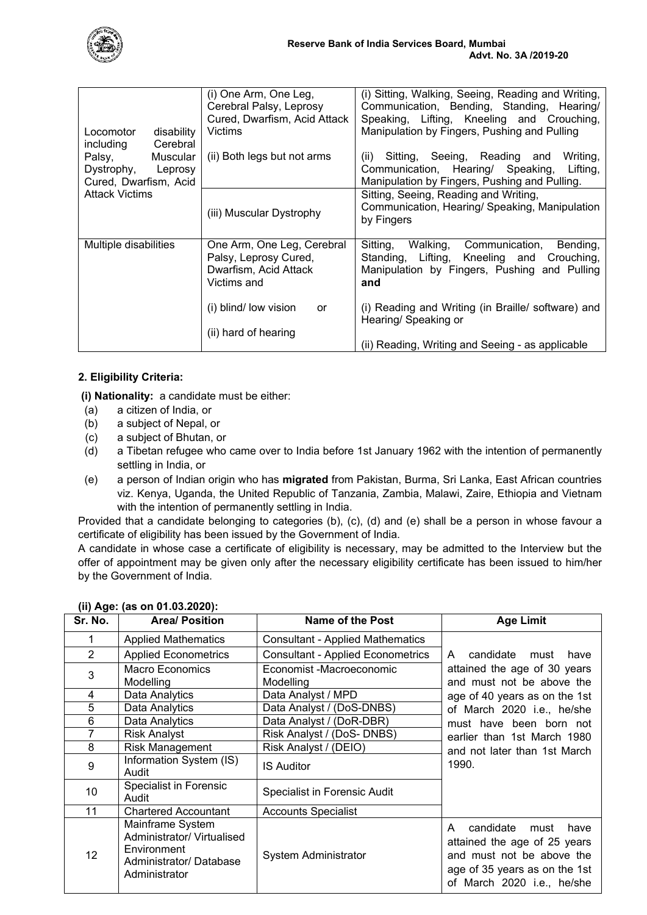

| (i) One Arm, One Leg,<br>Cerebral Palsy, Leprosy<br>Cured, Dwarfism, Acid Attack<br>Victims | (i) Sitting, Walking, Seeing, Reading and Writing,<br>Communication, Bending, Standing, Hearing/<br>Speaking, Lifting, Kneeling and Crouching,<br>Manipulation by Fingers, Pushing and Pulling |
|---------------------------------------------------------------------------------------------|------------------------------------------------------------------------------------------------------------------------------------------------------------------------------------------------|
| (ii) Both legs but not arms                                                                 | Sitting, Seeing, Reading and Writing,<br>(ii)<br>Communication, Hearing/ Speaking,<br>Lifting,<br>Manipulation by Fingers, Pushing and Pulling.                                                |
| (iii) Muscular Dystrophy                                                                    | Sitting, Seeing, Reading and Writing,<br>Communication, Hearing/ Speaking, Manipulation<br>by Fingers                                                                                          |
| One Arm, One Leg, Cerebral<br>Palsy, Leprosy Cured,<br>Dwarfism, Acid Attack<br>Victims and | Sitting,<br>Walking,<br>Communication,<br>Bending,<br>Standing, Lifting, Kneeling and<br>Crouching,<br>Manipulation by Fingers, Pushing and Pulling<br>and                                     |
| (i) blind/ low vision<br>or<br>(ii) hard of hearing                                         | (i) Reading and Writing (in Braille/ software) and<br>Hearing/ Speaking or<br>(ii) Reading, Writing and Seeing - as applicable                                                                 |
|                                                                                             |                                                                                                                                                                                                |

## **2. Eligibility Criteria:**

**(i) Nationality:** a candidate must be either:

- (a) a citizen of India, or
- (b) a subject of Nepal, or
- (c) a subject of Bhutan, or
- (d) a Tibetan refugee who came over to India before 1st January 1962 with the intention of permanently settling in India, or
- (e) a person of Indian origin who has **migrated** from Pakistan, Burma, Sri Lanka, East African countries viz. Kenya, Uganda, the United Republic of Tanzania, Zambia, Malawi, Zaire, Ethiopia and Vietnam with the intention of permanently settling in India.

Provided that a candidate belonging to categories (b), (c), (d) and (e) shall be a person in whose favour a certificate of eligibility has been issued by the Government of India.

A candidate in whose case a certificate of eligibility is necessary, may be admitted to the Interview but the offer of appointment may be given only after the necessary eligibility certificate has been issued to him/her by the Government of India.

| Sr. No.        | <b>Area/ Position</b>                                                                                     | Name of the Post                         | <b>Age Limit</b>                                                                                                                                           |
|----------------|-----------------------------------------------------------------------------------------------------------|------------------------------------------|------------------------------------------------------------------------------------------------------------------------------------------------------------|
| 1              | <b>Applied Mathematics</b>                                                                                | <b>Consultant - Applied Mathematics</b>  |                                                                                                                                                            |
| $\overline{2}$ | <b>Applied Econometrics</b>                                                                               | <b>Consultant - Applied Econometrics</b> | candidate must<br>have<br>A                                                                                                                                |
| 3              | <b>Macro Economics</b><br>Modelling                                                                       | Economist -Macroeconomic<br>Modelling    | attained the age of 30 years<br>and must not be above the                                                                                                  |
| 4              | Data Analytics                                                                                            | Data Analyst / MPD                       | age of 40 years as on the 1st                                                                                                                              |
| 5              | Data Analytics                                                                                            | Data Analyst / (DoS-DNBS)                | of March 2020 i.e., he/she                                                                                                                                 |
| 6              | Data Analytics                                                                                            | Data Analyst / (DoR-DBR)                 | must have been born not                                                                                                                                    |
| 7              | <b>Risk Analyst</b>                                                                                       | Risk Analyst / (DoS- DNBS)               | earlier than 1st March 1980                                                                                                                                |
| 8              | <b>Risk Management</b>                                                                                    | Risk Analyst / (DEIO)                    | and not later than 1st March                                                                                                                               |
| 9              | Information System (IS)<br>Audit                                                                          | <b>IS Auditor</b>                        | 1990.                                                                                                                                                      |
| 10             | Specialist in Forensic<br>Audit                                                                           | Specialist in Forensic Audit             |                                                                                                                                                            |
| 11             | <b>Chartered Accountant</b>                                                                               | <b>Accounts Specialist</b>               |                                                                                                                                                            |
| 12             | Mainframe System<br>Administrator/ Virtualised<br>Environment<br>Administrator/ Database<br>Administrator | <b>System Administrator</b>              | candidate<br>must<br>have<br>A<br>attained the age of 25 years<br>and must not be above the<br>age of 35 years as on the 1st<br>of March 2020 i.e., he/she |

## **(ii) Age: (as on 01.03.2020):**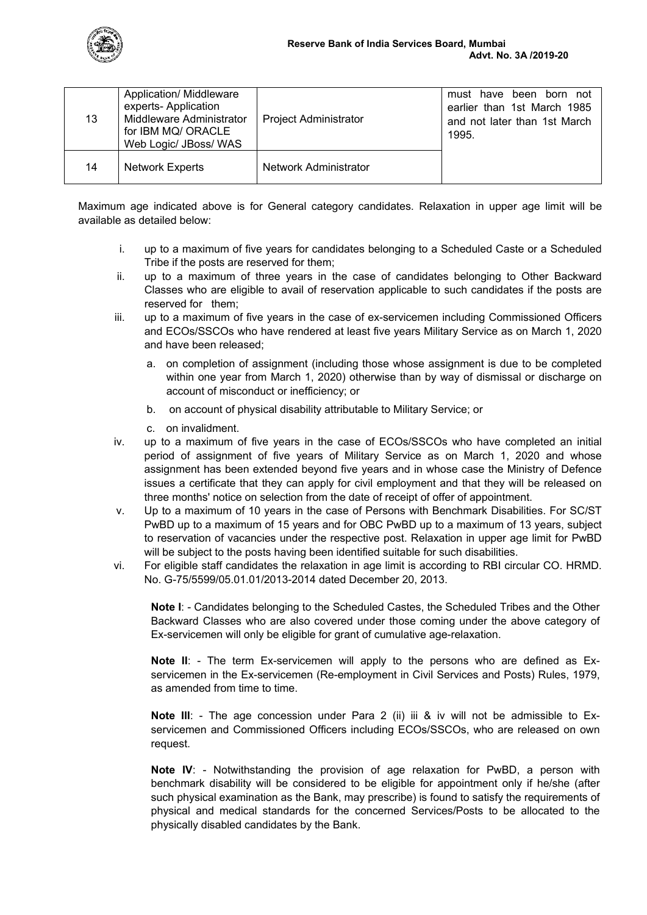

| 13 | Application/ Middleware<br>experts- Application<br>Middleware Administrator<br>for IBM MQ/ ORACLE<br>Web Logic/ JBoss/ WAS | <b>Project Administrator</b> | must have been born not<br>earlier than 1st March 1985<br>and not later than 1st March<br>1995. |
|----|----------------------------------------------------------------------------------------------------------------------------|------------------------------|-------------------------------------------------------------------------------------------------|
| 14 | <b>Network Experts</b>                                                                                                     | Network Administrator        |                                                                                                 |

Maximum age indicated above is for General category candidates. Relaxation in upper age limit will be available as detailed below:

- i. up to a maximum of five years for candidates belonging to a Scheduled Caste or a Scheduled Tribe if the posts are reserved for them;
- ii. up to a maximum of three years in the case of candidates belonging to Other Backward Classes who are eligible to avail of reservation applicable to such candidates if the posts are reserved for them;
- iii. up to a maximum of five years in the case of ex-servicemen including Commissioned Officers and ECOs/SSCOs who have rendered at least five years Military Service as on March 1, 2020 and have been released;
	- a. on completion of assignment (including those whose assignment is due to be completed within one year from March 1, 2020) otherwise than by way of dismissal or discharge on account of misconduct or inefficiency; or
	- b. on account of physical disability attributable to Military Service; or
	- c. on invalidment.
- iv. up to a maximum of five years in the case of ECOs/SSCOs who have completed an initial period of assignment of five years of Military Service as on March 1, 2020 and whose assignment has been extended beyond five years and in whose case the Ministry of Defence issues a certificate that they can apply for civil employment and that they will be released on three months' notice on selection from the date of receipt of offer of appointment.
- v. Up to a maximum of 10 years in the case of Persons with Benchmark Disabilities. For SC/ST PwBD up to a maximum of 15 years and for OBC PwBD up to a maximum of 13 years, subject to reservation of vacancies under the respective post. Relaxation in upper age limit for PwBD will be subject to the posts having been identified suitable for such disabilities.
- vi. For eligible staff candidates the relaxation in age limit is according to RBI circular CO. HRMD. No. G-75/5599/05.01.01/2013-2014 dated December 20, 2013.

**Note I**: - Candidates belonging to the Scheduled Castes, the Scheduled Tribes and the Other Backward Classes who are also covered under those coming under the above category of Ex-servicemen will only be eligible for grant of cumulative age-relaxation.

**Note II**: - The term Ex-servicemen will apply to the persons who are defined as Exservicemen in the Ex-servicemen (Re-employment in Civil Services and Posts) Rules, 1979, as amended from time to time.

**Note III:** - The age concession under Para 2 (ii) iii & iv will not be admissible to Exservicemen and Commissioned Officers including ECOs/SSCOs, who are released on own request.

**Note IV**: - Notwithstanding the provision of age relaxation for PwBD, a person with benchmark disability will be considered to be eligible for appointment only if he/she (after such physical examination as the Bank, may prescribe) is found to satisfy the requirements of physical and medical standards for the concerned Services/Posts to be allocated to the physically disabled candidates by the Bank.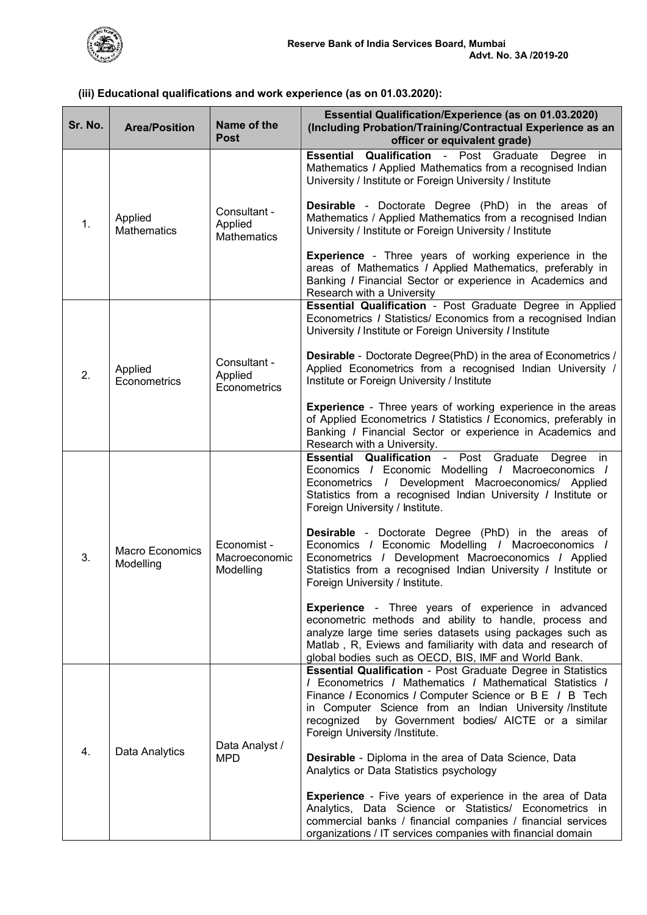

# **(iii) Educational qualifications and work experience (as on 01.03.2020):**

| Sr. No.        | <b>Area/Position</b>                | Name of the<br><b>Post</b>                    | <b>Essential Qualification/Experience (as on 01.03.2020)</b><br>(Including Probation/Training/Contractual Experience as an<br>officer or equivalent grade)                                                                                                                                                                                        |
|----------------|-------------------------------------|-----------------------------------------------|---------------------------------------------------------------------------------------------------------------------------------------------------------------------------------------------------------------------------------------------------------------------------------------------------------------------------------------------------|
|                |                                     |                                               | <b>Essential Qualification - Post Graduate Degree</b><br>in –<br>Mathematics / Applied Mathematics from a recognised Indian<br>University / Institute or Foreign University / Institute                                                                                                                                                           |
| 1.             | Applied<br><b>Mathematics</b>       | Consultant -<br>Applied<br><b>Mathematics</b> | <b>Desirable</b> - Doctorate Degree (PhD) in the areas of<br>Mathematics / Applied Mathematics from a recognised Indian<br>University / Institute or Foreign University / Institute                                                                                                                                                               |
|                |                                     |                                               | <b>Experience</b> - Three years of working experience in the<br>areas of Mathematics / Applied Mathematics, preferably in<br>Banking / Financial Sector or experience in Academics and<br>Research with a University                                                                                                                              |
|                |                                     |                                               | Essential Qualification - Post Graduate Degree in Applied<br>Econometrics / Statistics/ Economics from a recognised Indian<br>University / Institute or Foreign University / Institute                                                                                                                                                            |
| 2.             | Applied<br>Econometrics             | Consultant -<br>Applied<br>Econometrics       | <b>Desirable</b> - Doctorate Degree(PhD) in the area of Econometrics /<br>Applied Econometrics from a recognised Indian University /<br>Institute or Foreign University / Institute                                                                                                                                                               |
|                |                                     |                                               | <b>Experience</b> - Three years of working experience in the areas<br>of Applied Econometrics / Statistics / Economics, preferably in<br>Banking / Financial Sector or experience in Academics and<br>Research with a University.                                                                                                                 |
| 3.             | <b>Macro Economics</b><br>Modelling | Economist -<br>Macroeconomic<br>Modelling     | Essential Qualification - Post Graduate<br>Degree<br>in in<br>Economics / Economic Modelling / Macroeconomics /<br>Econometrics / Development Macroeconomics/ Applied<br>Statistics from a recognised Indian University / Institute or<br>Foreign University / Institute.                                                                         |
|                |                                     |                                               | <b>Desirable</b> - Doctorate Degree (PhD) in the areas of<br>Economics / Economic Modelling / Macroeconomics /<br>Econometrics / Development Macroeconomics / Applied<br>Statistics from a recognised Indian University / Institute or<br>Foreign University / Institute.                                                                         |
|                |                                     |                                               | <b>Experience</b> - Three years of experience in advanced<br>econometric methods and ability to handle, process and<br>analyze large time series datasets using packages such as<br>Matlab, R, Eviews and familiarity with data and research of<br>global bodies such as OECD, BIS, IMF and World Bank.                                           |
| $\mathbf{4}$ . | Data Analytics                      | Data Analyst /<br><b>MPD</b>                  | <b>Essential Qualification - Post Graduate Degree in Statistics</b><br>/ Econometrics / Mathematics / Mathematical Statistics /<br>Finance / Economics / Computer Science or B E / B Tech<br>in Computer Science from an Indian University /Institute<br>by Government bodies/ AICTE or a similar<br>recognized<br>Foreign University /Institute. |
|                |                                     |                                               | <b>Desirable</b> - Diploma in the area of Data Science, Data<br>Analytics or Data Statistics psychology                                                                                                                                                                                                                                           |
|                |                                     |                                               | <b>Experience</b> - Five years of experience in the area of Data<br>Analytics, Data Science or Statistics/ Econometrics in<br>commercial banks / financial companies / financial services<br>organizations / IT services companies with financial domain                                                                                          |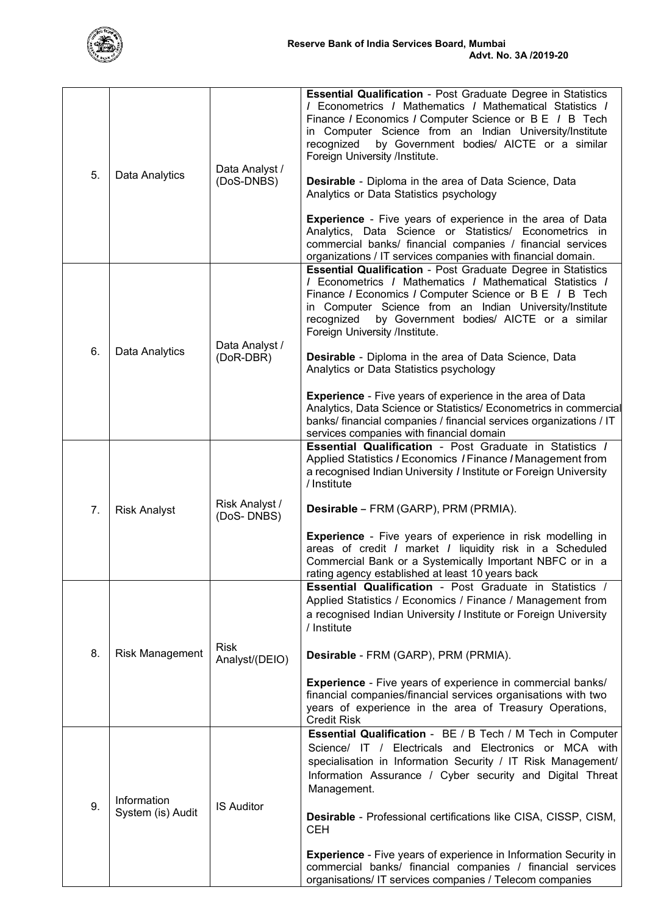

| 5. | Data Analytics         | Data Analyst /<br>(DoS-DNBS)                          | <b>Essential Qualification - Post Graduate Degree in Statistics</b><br>/ Econometrics / Mathematics / Mathematical Statistics /<br>Finance / Economics / Computer Science or B E / B Tech<br>in Computer Science from an Indian University/Institute<br>by Government bodies/ AICTE or a similar<br>recognized<br>Foreign University /Institute.<br>Desirable - Diploma in the area of Data Science, Data<br>Analytics or Data Statistics psychology<br><b>Experience</b> - Five years of experience in the area of Data<br>Analytics, Data Science or Statistics/ Econometrics in<br>commercial banks/ financial companies / financial services |
|----|------------------------|-------------------------------------------------------|--------------------------------------------------------------------------------------------------------------------------------------------------------------------------------------------------------------------------------------------------------------------------------------------------------------------------------------------------------------------------------------------------------------------------------------------------------------------------------------------------------------------------------------------------------------------------------------------------------------------------------------------------|
|    |                        |                                                       | organizations / IT services companies with financial domain.                                                                                                                                                                                                                                                                                                                                                                                                                                                                                                                                                                                     |
|    |                        | Data Analyst /                                        | <b>Essential Qualification - Post Graduate Degree in Statistics</b><br>/ Econometrics / Mathematics / Mathematical Statistics /<br>Finance / Economics / Computer Science or B E / B Tech<br>in Computer Science from an Indian University/Institute<br>recognized<br>by Government bodies/ AICTE or a similar<br>Foreign University /Institute.                                                                                                                                                                                                                                                                                                 |
| 6. | Data Analytics         | (DoR-DBR)                                             | <b>Desirable</b> - Diploma in the area of Data Science, Data<br>Analytics or Data Statistics psychology                                                                                                                                                                                                                                                                                                                                                                                                                                                                                                                                          |
|    |                        |                                                       | <b>Experience</b> - Five years of experience in the area of Data<br>Analytics, Data Science or Statistics/ Econometrics in commercial<br>banks/ financial companies / financial services organizations / IT<br>services companies with financial domain                                                                                                                                                                                                                                                                                                                                                                                          |
|    |                        |                                                       | <b>Essential Qualification - Post Graduate in Statistics /</b><br>Applied Statistics / Economics / Finance / Management from<br>a recognised Indian University / Institute or Foreign University<br>/ Institute                                                                                                                                                                                                                                                                                                                                                                                                                                  |
| 7. | <b>Risk Analyst</b>    | Risk Analyst /<br>(DoS-DNBS)                          | Desirable - FRM (GARP), PRM (PRMIA).                                                                                                                                                                                                                                                                                                                                                                                                                                                                                                                                                                                                             |
|    |                        |                                                       | <b>Experience</b> - Five years of experience in risk modelling in<br>areas of credit / market / liquidity risk in a Scheduled<br>Commercial Bank or a Systemically Important NBFC or in a<br>rating agency established at least 10 years back                                                                                                                                                                                                                                                                                                                                                                                                    |
|    |                        |                                                       | <b>Essential Qualification - Post Graduate in Statistics /</b>                                                                                                                                                                                                                                                                                                                                                                                                                                                                                                                                                                                   |
|    |                        |                                                       | Applied Statistics / Economics / Finance / Management from<br>a recognised Indian University / Institute or Foreign University<br>/ Institute                                                                                                                                                                                                                                                                                                                                                                                                                                                                                                    |
| 8. | <b>Risk Management</b> | <b>Risk</b><br>Analyst/(DEIO)                         | Desirable - FRM (GARP), PRM (PRMIA).                                                                                                                                                                                                                                                                                                                                                                                                                                                                                                                                                                                                             |
|    |                        |                                                       | <b>Experience</b> - Five years of experience in commercial banks/<br>financial companies/financial services organisations with two<br>years of experience in the area of Treasury Operations,<br><b>Credit Risk</b>                                                                                                                                                                                                                                                                                                                                                                                                                              |
| 9. |                        | Information<br><b>IS Auditor</b><br>System (is) Audit | <b>Essential Qualification - BE / B Tech / M Tech in Computer</b><br>Science/ IT / Electricals and Electronics or MCA with<br>specialisation in Information Security / IT Risk Management/<br>Information Assurance / Cyber security and Digital Threat<br>Management.                                                                                                                                                                                                                                                                                                                                                                           |
|    |                        |                                                       | Desirable - Professional certifications like CISA, CISSP, CISM,<br><b>CEH</b>                                                                                                                                                                                                                                                                                                                                                                                                                                                                                                                                                                    |
|    |                        |                                                       | <b>Experience</b> - Five years of experience in Information Security in<br>commercial banks/ financial companies / financial services<br>organisations/IT services companies / Telecom companies                                                                                                                                                                                                                                                                                                                                                                                                                                                 |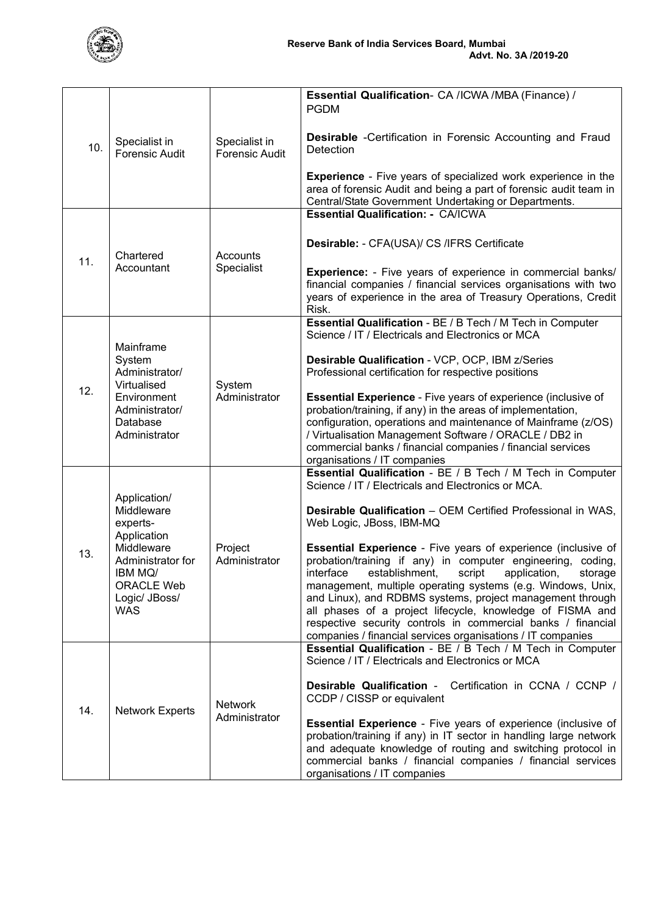

| 10. | Specialist in<br><b>Forensic Audit</b>                                                                                                           | Specialist in<br><b>Forensic Audit</b> | Essential Qualification- CA /ICWA /MBA (Finance) /<br><b>PGDM</b><br><b>Desirable</b> -Certification in Forensic Accounting and Fraud<br>Detection<br><b>Experience</b> - Five years of specialized work experience in the<br>area of forensic Audit and being a part of forensic audit team in<br>Central/State Government Undertaking or Departments.                                                                                                                                                                                                                                                                                                                                                                                                       |
|-----|--------------------------------------------------------------------------------------------------------------------------------------------------|----------------------------------------|---------------------------------------------------------------------------------------------------------------------------------------------------------------------------------------------------------------------------------------------------------------------------------------------------------------------------------------------------------------------------------------------------------------------------------------------------------------------------------------------------------------------------------------------------------------------------------------------------------------------------------------------------------------------------------------------------------------------------------------------------------------|
| 11. | Chartered<br>Accountant                                                                                                                          | Accounts<br>Specialist                 | <b>Essential Qualification: - CA/ICWA</b><br>Desirable: - CFA(USA)/ CS / IFRS Certificate<br><b>Experience:</b> - Five years of experience in commercial banks/<br>financial companies / financial services organisations with two<br>years of experience in the area of Treasury Operations, Credit<br>Risk.                                                                                                                                                                                                                                                                                                                                                                                                                                                 |
| 12. | Mainframe<br>System<br>Administrator/<br>Virtualised<br>Environment<br>Administrator/<br>Database<br>Administrator                               | System<br>Administrator                | Essential Qualification - BE / B Tech / M Tech in Computer<br>Science / IT / Electricals and Electronics or MCA<br>Desirable Qualification - VCP, OCP, IBM z/Series<br>Professional certification for respective positions<br><b>Essential Experience - Five years of experience (inclusive of</b><br>probation/training, if any) in the areas of implementation,<br>configuration, operations and maintenance of Mainframe (z/OS)<br>/ Virtualisation Management Software / ORACLE / DB2 in<br>commercial banks / financial companies / financial services<br>organisations / IT companies                                                                                                                                                                   |
| 13. | Application/<br>Middleware<br>experts-<br>Application<br>Middleware<br>Administrator for<br>IBM MQ/<br>ORACLE Web<br>Logic/ JBoss/<br><b>WAS</b> | Project<br>Administrator               | <b>Essential Qualification - BE / B Tech / M Tech in Computer</b><br>Science / IT / Electricals and Electronics or MCA.<br><b>Desirable Qualification</b> – OEM Certified Professional in WAS,<br>Web Logic, JBoss, IBM-MQ<br><b>Essential Experience - Five years of experience (inclusive of</b><br>probation/training if any) in computer engineering, coding,<br>establishment,<br>script<br>application,<br>interface<br>storage<br>management, multiple operating systems (e.g. Windows, Unix,<br>and Linux), and RDBMS systems, project management through<br>all phases of a project lifecycle, knowledge of FISMA and<br>respective security controls in commercial banks / financial<br>companies / financial services organisations / IT companies |
| 14. | <b>Network Experts</b>                                                                                                                           | <b>Network</b><br>Administrator        | <b>Essential Qualification - BE / B Tech / M Tech in Computer</b><br>Science / IT / Electricals and Electronics or MCA<br><b>Desirable Qualification -</b> Certification in CCNA / CCNP /<br>CCDP / CISSP or equivalent<br><b>Essential Experience</b> - Five years of experience (inclusive of<br>probation/training if any) in IT sector in handling large network<br>and adequate knowledge of routing and switching protocol in<br>commercial banks / financial companies / financial services<br>organisations / IT companies                                                                                                                                                                                                                            |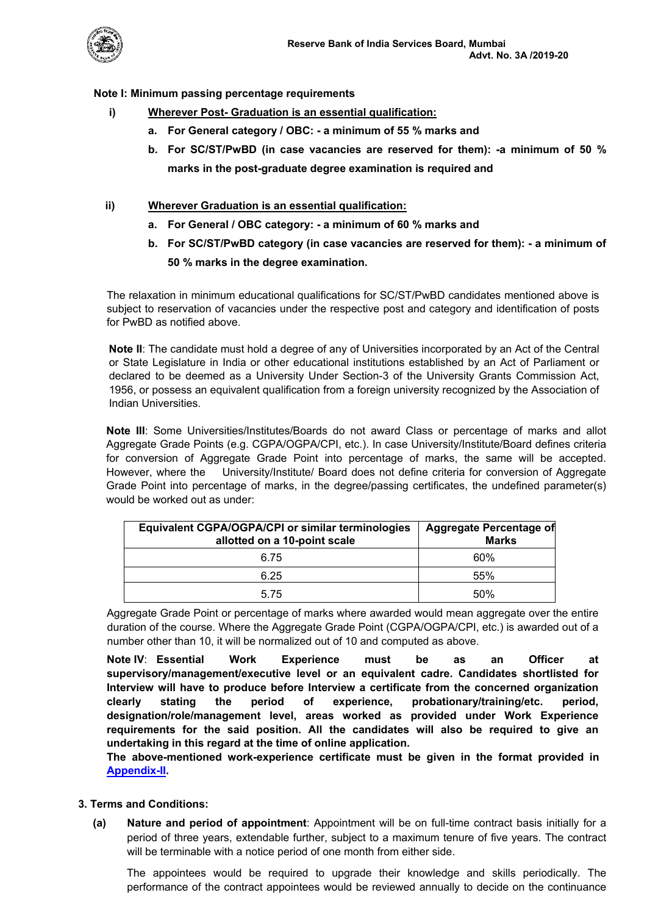

**Note I: Minimum passing percentage requirements**

- **i) Wherever Post- Graduation is an essential qualification:**
	- **a. For General category / OBC: - a minimum of 55 % marks and**
	- **b. For SC/ST/PwBD (in case vacancies are reserved for them): -a minimum of 50 % marks in the post-graduate degree examination is required and**

## **ii) Wherever Graduation is an essential qualification:**

- **a. For General / OBC category: - a minimum of 60 % marks and**
- **b. For SC/ST/PwBD category (in case vacancies are reserved for them): - a minimum of 50 % marks in the degree examination.**

The relaxation in minimum educational qualifications for SC/ST/PwBD candidates mentioned above is subject to reservation of vacancies under the respective post and category and identification of posts for PwBD as notified above.

**Note II**: The candidate must hold a degree of any of Universities incorporated by an Act of the Central or State Legislature in India or other educational institutions established by an Act of Parliament or declared to be deemed as a University Under Section-3 of the University Grants Commission Act, 1956, or possess an equivalent qualification from a foreign university recognized by the Association of Indian Universities.

**Note III**: Some Universities/Institutes/Boards do not award Class or percentage of marks and allot Aggregate Grade Points (e.g. CGPA/OGPA/CPI, etc.). In case University/Institute/Board defines criteria for conversion of Aggregate Grade Point into percentage of marks, the same will be accepted. However, where the University/Institute/ Board does not define criteria for conversion of Aggregate Grade Point into percentage of marks, in the degree/passing certificates, the undefined parameter(s) would be worked out as under:

| Equivalent CGPA/OGPA/CPI or similar terminologies<br>allotted on a 10-point scale | <b>Aggregate Percentage of</b><br><b>Marks</b> |
|-----------------------------------------------------------------------------------|------------------------------------------------|
| 6.75                                                                              | 60%                                            |
| 6.25                                                                              | 55%                                            |
| 5.75                                                                              | 50%                                            |

Aggregate Grade Point or percentage of marks where awarded would mean aggregate over the entire duration of the course. Where the Aggregate Grade Point (CGPA/OGPA/CPI, etc.) is awarded out of a number other than 10, it will be normalized out of 10 and computed as above.

**Note IV**: **Essential Work Experience must be as an Officer at supervisory/management/executive level or an equivalent cadre. Candidates shortlisted for Interview will have to produce before Interview a certificate from the concerned organization clearly stating the period of experience, probationary/training/etc. period, designation/role/management level, areas worked as provided under Work Experience requirements for the said position. All the candidates will also be required to give an undertaking in this regard at the time of online application.** 

**The above-mentioned work-experience certificate must be given in the format provided in [Appendix-II.](#page-19-0)**

### **3. Terms and Conditions:**

**(a) Nature and period of appointment**: Appointment will be on full-time contract basis initially for a period of three years, extendable further, subject to a maximum tenure of five years. The contract will be terminable with a notice period of one month from either side.

 The appointees would be required to upgrade their knowledge and skills periodically. The performance of the contract appointees would be reviewed annually to decide on the continuance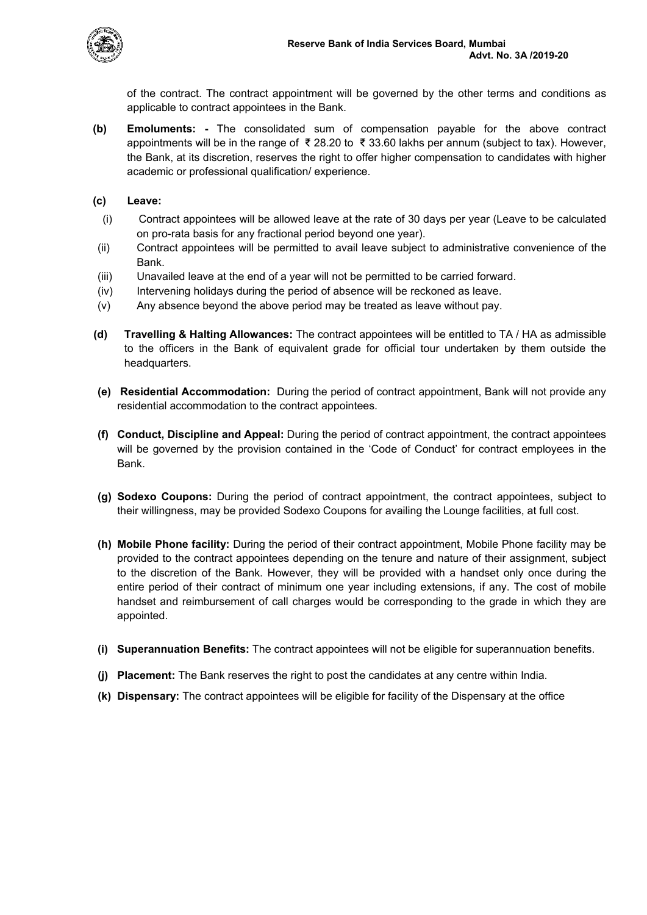

of the contract. The contract appointment will be governed by the other terms and conditions as applicable to contract appointees in the Bank.

- **(b) Emoluments: -** The consolidated sum of compensation payable for the above contract appointments will be in the range of ₹ 28.20 to ₹ 33.60 lakhs per annum (subject to tax). However, the Bank, at its discretion, reserves the right to offer higher compensation to candidates with higher academic or professional qualification/ experience.
- **(c) Leave:**
- (i) Contract appointees will be allowed leave at the rate of 30 days per year (Leave to be calculated on pro-rata basis for any fractional period beyond one year).
- (ii) Contract appointees will be permitted to avail leave subject to administrative convenience of the Bank.
- (iii) Unavailed leave at the end of a year will not be permitted to be carried forward.
- (iv) Intervening holidays during the period of absence will be reckoned as leave.
- (v) Any absence beyond the above period may be treated as leave without pay.
- **(d) Travelling & Halting Allowances:** The contract appointees will be entitled to TA / HA as admissible to the officers in the Bank of equivalent grade for official tour undertaken by them outside the headquarters.
- **(e) Residential Accommodation:** During the period of contract appointment, Bank will not provide any residential accommodation to the contract appointees.
- **(f) Conduct, Discipline and Appeal:** During the period of contract appointment, the contract appointees will be governed by the provision contained in the 'Code of Conduct' for contract employees in the Bank.
- **(g) Sodexo Coupons:** During the period of contract appointment, the contract appointees, subject to their willingness, may be provided Sodexo Coupons for availing the Lounge facilities, at full cost.
- **(h) Mobile Phone facility:** During the period of their contract appointment, Mobile Phone facility may be provided to the contract appointees depending on the tenure and nature of their assignment, subject to the discretion of the Bank. However, they will be provided with a handset only once during the entire period of their contract of minimum one year including extensions, if any. The cost of mobile handset and reimbursement of call charges would be corresponding to the grade in which they are appointed.
- **(i) Superannuation Benefits:** The contract appointees will not be eligible for superannuation benefits.
- **(j) Placement:** The Bank reserves the right to post the candidates at any centre within India.
- **(k) Dispensary:** The contract appointees will be eligible for facility of the Dispensary at the office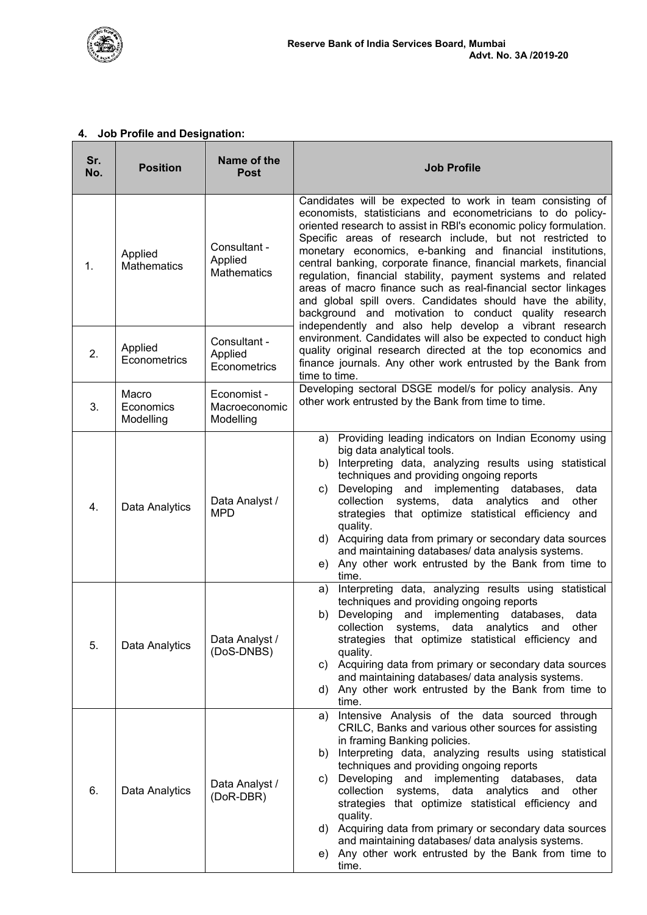

# **4. Job Profile and Designation:**

| Sr.<br>No. | <b>Position</b>                 | Name of the<br><b>Post</b>                    | <b>Job Profile</b>                                                                                                                                                                                                                                                                                                                                                                                                                                                                                                                                                                                                                                   |  |  |
|------------|---------------------------------|-----------------------------------------------|------------------------------------------------------------------------------------------------------------------------------------------------------------------------------------------------------------------------------------------------------------------------------------------------------------------------------------------------------------------------------------------------------------------------------------------------------------------------------------------------------------------------------------------------------------------------------------------------------------------------------------------------------|--|--|
| 1.         | Applied<br><b>Mathematics</b>   | Consultant -<br>Applied<br><b>Mathematics</b> | Candidates will be expected to work in team consisting of<br>economists, statisticians and econometricians to do policy-<br>oriented research to assist in RBI's economic policy formulation.<br>Specific areas of research include, but not restricted to<br>monetary economics, e-banking and financial institutions,<br>central banking, corporate finance, financial markets, financial<br>regulation, financial stability, payment systems and related<br>areas of macro finance such as real-financial sector linkages<br>and global spill overs. Candidates should have the ability,<br>background and motivation to conduct quality research |  |  |
| 2.         | Applied<br>Econometrics         | Consultant -<br>Applied<br>Econometrics       | independently and also help develop a vibrant research<br>environment. Candidates will also be expected to conduct high<br>quality original research directed at the top economics and<br>finance journals. Any other work entrusted by the Bank from<br>time to time.                                                                                                                                                                                                                                                                                                                                                                               |  |  |
| 3.         | Macro<br>Economics<br>Modelling | Economist -<br>Macroeconomic<br>Modelling     | Developing sectoral DSGE model/s for policy analysis. Any<br>other work entrusted by the Bank from time to time.                                                                                                                                                                                                                                                                                                                                                                                                                                                                                                                                     |  |  |
| 4.         | Data Analytics                  | Data Analyst /<br><b>MPD</b>                  | Providing leading indicators on Indian Economy using<br>a)<br>big data analytical tools.<br>Interpreting data, analyzing results using statistical<br>b)<br>techniques and providing ongoing reports<br>Developing and implementing databases,<br>data<br>c)<br>collection<br>systems, data analytics and<br>other<br>strategies that optimize statistical efficiency and<br>quality.<br>d) Acquiring data from primary or secondary data sources<br>and maintaining databases/ data analysis systems.<br>Any other work entrusted by the Bank from time to<br>e)<br>time.                                                                           |  |  |
| 5.         | Data Analytics                  | Data Analyst /<br>(DoS-DNBS)                  | Interpreting data, analyzing results using statistical<br>a)<br>techniques and providing ongoing reports<br>Developing and implementing<br>databases,<br>b)<br>data<br>collection<br>systems, data analytics<br>other<br>and<br>strategies that optimize statistical efficiency and<br>quality.<br>c) Acquiring data from primary or secondary data sources<br>and maintaining databases/ data analysis systems.<br>Any other work entrusted by the Bank from time to<br>d)<br>time.                                                                                                                                                                 |  |  |
| 6.         | Data Analytics                  | Data Analyst /<br>(DoR-DBR)                   | Intensive Analysis of the data sourced through<br>a)<br>CRILC, Banks and various other sources for assisting<br>in framing Banking policies.<br>Interpreting data, analyzing results using statistical<br>b)<br>techniques and providing ongoing reports<br>Developing<br>and<br>implementing<br>databases,<br>data<br>C)<br>collection<br>systems,<br>data<br>analytics<br>other<br>and<br>strategies that optimize statistical efficiency and<br>quality.<br>d) Acquiring data from primary or secondary data sources<br>and maintaining databases/ data analysis systems.<br>e) Any other work entrusted by the Bank from time to<br>time.        |  |  |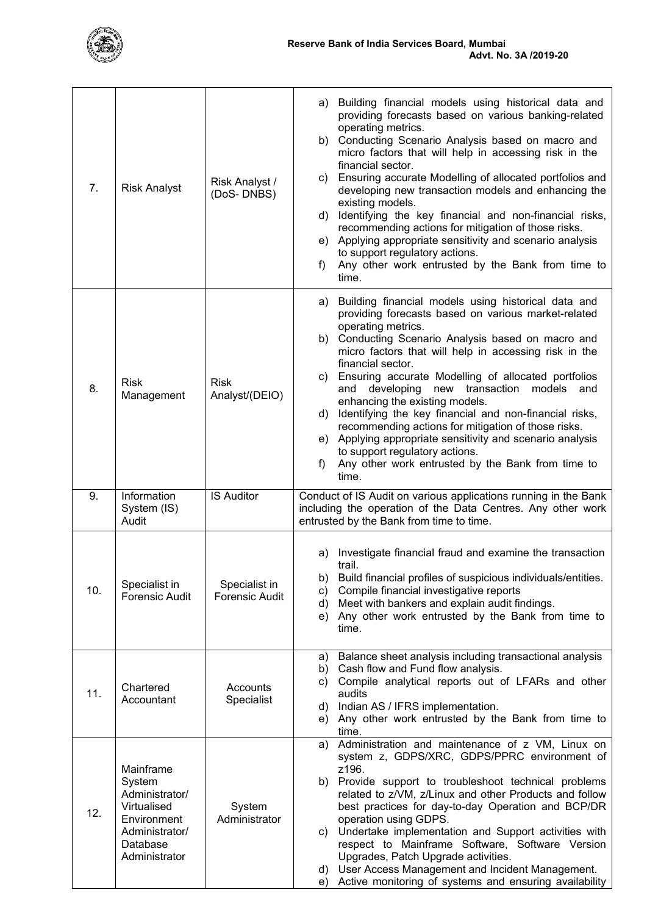

| 7 <sub>1</sub> | <b>Risk Analyst</b>                                                                                                | Risk Analyst /<br>(DoS-DNBS)           | Building financial models using historical data and<br>a)<br>providing forecasts based on various banking-related<br>operating metrics.<br>b) Conducting Scenario Analysis based on macro and<br>micro factors that will help in accessing risk in the<br>financial sector.<br>c) Ensuring accurate Modelling of allocated portfolios and<br>developing new transaction models and enhancing the<br>existing models.<br>Identifying the key financial and non-financial risks,<br>d)<br>recommending actions for mitigation of those risks.<br>e) Applying appropriate sensitivity and scenario analysis<br>to support regulatory actions.<br>Any other work entrusted by the Bank from time to<br>f)<br>time.      |
|----------------|--------------------------------------------------------------------------------------------------------------------|----------------------------------------|---------------------------------------------------------------------------------------------------------------------------------------------------------------------------------------------------------------------------------------------------------------------------------------------------------------------------------------------------------------------------------------------------------------------------------------------------------------------------------------------------------------------------------------------------------------------------------------------------------------------------------------------------------------------------------------------------------------------|
| 8.             | <b>Risk</b><br>Management                                                                                          | <b>Risk</b><br>Analyst/(DEIO)          | Building financial models using historical data and<br>a)<br>providing forecasts based on various market-related<br>operating metrics.<br>b) Conducting Scenario Analysis based on macro and<br>micro factors that will help in accessing risk in the<br>financial sector.<br>c) Ensuring accurate Modelling of allocated portfolios<br>new transaction<br>and developing<br>models and<br>enhancing the existing models.<br>Identifying the key financial and non-financial risks,<br>d)<br>recommending actions for mitigation of those risks.<br>e) Applying appropriate sensitivity and scenario analysis<br>to support regulatory actions.<br>Any other work entrusted by the Bank from time to<br>f)<br>time. |
| 9.             | Information<br>System (IS)<br>Audit                                                                                | <b>IS Auditor</b>                      | Conduct of IS Audit on various applications running in the Bank<br>including the operation of the Data Centres. Any other work<br>entrusted by the Bank from time to time.                                                                                                                                                                                                                                                                                                                                                                                                                                                                                                                                          |
| 10.            | Specialist in<br><b>Forensic Audit</b>                                                                             | Specialist in<br><b>Forensic Audit</b> | Investigate financial fraud and examine the transaction<br>a)<br>trail.<br>Build financial profiles of suspicious individuals/entities.<br>b)<br>Compile financial investigative reports<br>c)<br>Meet with bankers and explain audit findings.<br>d)<br>Any other work entrusted by the Bank from time to<br>e)<br>time.                                                                                                                                                                                                                                                                                                                                                                                           |
| 11.            | Chartered<br>Accountant                                                                                            | Accounts<br>Specialist                 | Balance sheet analysis including transactional analysis<br>a)<br>Cash flow and Fund flow analysis.<br>b)<br>Compile analytical reports out of LFARs and other<br>C)<br>audits<br>Indian AS / IFRS implementation.<br>d)<br>Any other work entrusted by the Bank from time to<br>e)<br>time.                                                                                                                                                                                                                                                                                                                                                                                                                         |
| 12.            | Mainframe<br>System<br>Administrator/<br>Virtualised<br>Environment<br>Administrator/<br>Database<br>Administrator | System<br>Administrator                | Administration and maintenance of z VM, Linux on<br>a)<br>system z, GDPS/XRC, GDPS/PPRC environment of<br>z196.<br>b) Provide support to troubleshoot technical problems<br>related to z/VM, z/Linux and other Products and follow<br>best practices for day-to-day Operation and BCP/DR<br>operation using GDPS.<br>Undertake implementation and Support activities with<br>C)<br>respect to Mainframe Software, Software Version<br>Upgrades, Patch Upgrade activities.<br>User Access Management and Incident Management.<br>d)<br>Active monitoring of systems and ensuring availability<br>e)                                                                                                                  |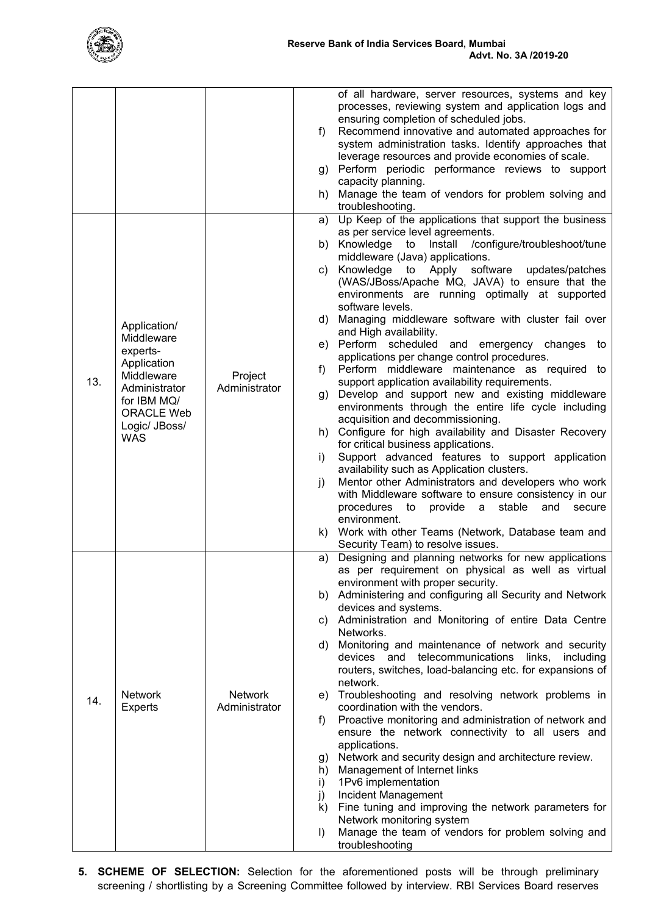

|     |                                                                                                                                                         |                                 | of all hardware, server resources, systems and key<br>processes, reviewing system and application logs and<br>ensuring completion of scheduled jobs.<br>Recommend innovative and automated approaches for<br>f)<br>system administration tasks. Identify approaches that<br>leverage resources and provide economies of scale.<br>Perform periodic performance reviews to support<br>g)<br>capacity planning.<br>Manage the team of vendors for problem solving and<br>h)<br>troubleshooting.                                                                                                                                                                                                                                                                                                                                                                                                                                                                                                                                                                                                                                                                                                                                                                                                                                                                |
|-----|---------------------------------------------------------------------------------------------------------------------------------------------------------|---------------------------------|--------------------------------------------------------------------------------------------------------------------------------------------------------------------------------------------------------------------------------------------------------------------------------------------------------------------------------------------------------------------------------------------------------------------------------------------------------------------------------------------------------------------------------------------------------------------------------------------------------------------------------------------------------------------------------------------------------------------------------------------------------------------------------------------------------------------------------------------------------------------------------------------------------------------------------------------------------------------------------------------------------------------------------------------------------------------------------------------------------------------------------------------------------------------------------------------------------------------------------------------------------------------------------------------------------------------------------------------------------------|
| 13. | Application/<br>Middleware<br>experts-<br>Application<br>Middleware<br>Administrator<br>for IBM MQ/<br><b>ORACLE Web</b><br>Logic/ JBoss/<br><b>WAS</b> | Project<br>Administrator        | Up Keep of the applications that support the business<br>a)<br>as per service level agreements.<br>/configure/troubleshoot/tune<br>Knowledge<br>Install<br>b)<br>to<br>middleware (Java) applications.<br>Knowledge to Apply software<br>updates/patches<br>C)<br>(WAS/JBoss/Apache MQ, JAVA) to ensure that the<br>environments are running optimally at supported<br>software levels.<br>Managing middleware software with cluster fail over<br>d)<br>and High availability.<br>e) Perform scheduled and emergency changes<br>to<br>applications per change control procedures.<br>Perform middleware maintenance as required to<br>f)<br>support application availability requirements.<br>Develop and support new and existing middleware<br>g)<br>environments through the entire life cycle including<br>acquisition and decommissioning.<br>Configure for high availability and Disaster Recovery<br>h)<br>for critical business applications.<br>Support advanced features to support application<br>i)<br>availability such as Application clusters.<br>Mentor other Administrators and developers who work<br>j)<br>with Middleware software to ensure consistency in our<br>procedures to<br>provide a<br>stable<br>and<br>secure<br>environment.<br>Work with other Teams (Network, Database team and<br>k)<br>Security Team) to resolve issues. |
| 14. | <b>Network</b><br><b>Experts</b>                                                                                                                        | <b>Network</b><br>Administrator | Designing and planning networks for new applications<br>a)<br>as per requirement on physical as well as virtual<br>environment with proper security.<br>Administering and configuring all Security and Network<br>b)<br>devices and systems.<br>Administration and Monitoring of entire Data Centre<br>C)<br>Networks.<br>Monitoring and maintenance of network and security<br>d)<br>devices and telecommunications links, including<br>routers, switches, load-balancing etc. for expansions of<br>network.<br>e) Troubleshooting and resolving network problems in<br>coordination with the vendors.<br>Proactive monitoring and administration of network and<br>f)<br>ensure the network connectivity to all users and<br>applications.<br>Network and security design and architecture review.<br>g)<br>Management of Internet links<br>h)<br>1Pv6 implementation<br>i)<br>j)<br>Incident Management<br>Fine tuning and improving the network parameters for<br>k)<br>Network monitoring system<br>$\vert$<br>Manage the team of vendors for problem solving and<br>troubleshooting                                                                                                                                                                                                                                                                    |

**5. SCHEME OF SELECTION:** Selection for the aforementioned posts will be through preliminary screening / shortlisting by a Screening Committee followed by interview. RBI Services Board reserves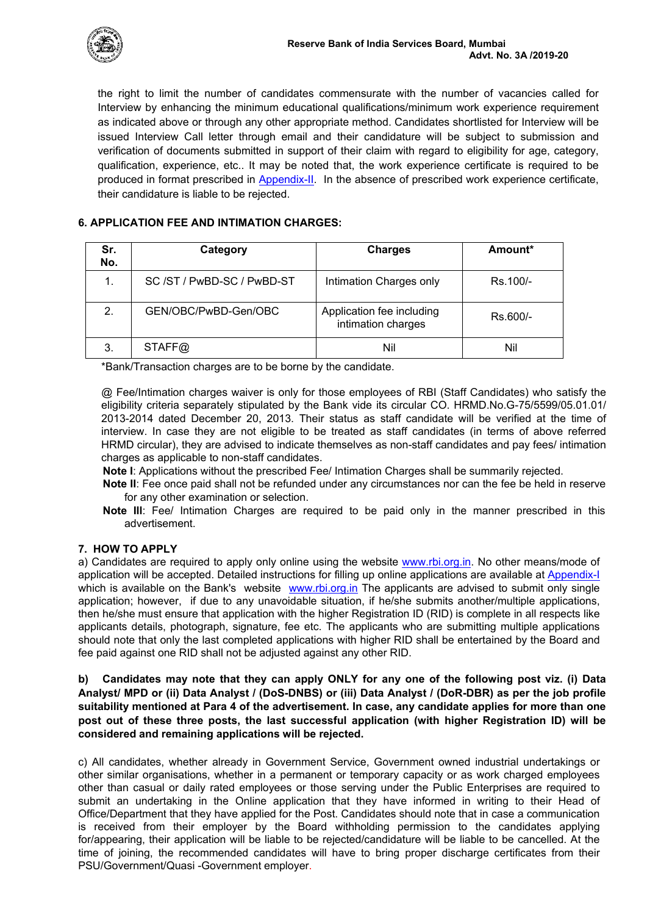

the right to limit the number of candidates commensurate with the number of vacancies called for Interview by enhancing the minimum educational qualifications/minimum work experience requirement as indicated above or through any other appropriate method. Candidates shortlisted for Interview will be issued Interview Call letter through email and their candidature will be subject to submission and verification of documents submitted in support of their claim with regard to eligibility for age, category, qualification, experience, etc.. It may be noted that, the work experience certificate is required to be produced in format prescribed in [Appendix-II.](#page-19-0) In the absence of prescribed work experience certificate, their candidature is liable to be rejected.

## **6. APPLICATION FEE AND INTIMATION CHARGES:**

| Sr.<br>No. | Category                   | <b>Charges</b>                                  | Amount*  |
|------------|----------------------------|-------------------------------------------------|----------|
| 1.         | SC /ST / PwBD-SC / PwBD-ST | Intimation Charges only                         | Rs.100/- |
| 2.         | GEN/OBC/PwBD-Gen/OBC       | Application fee including<br>intimation charges | Rs.600/- |
| 3.         | STAFF@                     | Nil                                             | Nil      |

\*Bank/Transaction charges are to be borne by the candidate.

@ Fee/Intimation charges waiver is only for those employees of RBI (Staff Candidates) who satisfy the eligibility criteria separately stipulated by the Bank vide its circular CO. HRMD.No.G-75/5599/05.01.01/ 2013-2014 dated December 20, 2013. Their status as staff candidate will be verified at the time of interview. In case they are not eligible to be treated as staff candidates (in terms of above referred HRMD circular), they are advised to indicate themselves as non-staff candidates and pay fees/ intimation charges as applicable to non-staff candidates.

**Note I**: Applications without the prescribed Fee/ Intimation Charges shall be summarily rejected.

- **Note II**: Fee once paid shall not be refunded under any circumstances nor can the fee be held in reserve for any other examination or selection.
- **Note Ill**: Fee/ Intimation Charges are required to be paid only in the manner prescribed in this advertisement.

## **7. HOW TO APPLY**

a) Candidates are required to apply only online using the website [www.rbi.org.in.](https://www.rbi.org.in/) No other means/mode of application will be accepted. Detailed instructions for filling up online applications are available at [Appendix-I](#page-15-0) which is available on the Bank's website [www.rbi.org.in](https://www.rbi.org.in/) The applicants are advised to submit only single application; however, if due to any unavoidable situation, if he/she submits another/multiple applications, then he/she must ensure that application with the higher Registration ID (RID) is complete in all respects like applicants details, photograph, signature, fee etc. The applicants who are submitting multiple applications should note that only the last completed applications with higher RID shall be entertained by the Board and fee paid against one RID shall not be adjusted against any other RID.

## **b) Candidates may note that they can apply ONLY for any one of the following post viz. (i) Data Analyst/ MPD or (ii) Data Analyst / (DoS-DNBS) or (iii) Data Analyst / (DoR-DBR) as per the job profile suitability mentioned at Para 4 of the advertisement. In case, any candidate applies for more than one post out of these three posts, the last successful application (with higher Registration ID) will be considered and remaining applications will be rejected.**

c) All candidates, whether already in Government Service, Government owned industrial undertakings or other similar organisations, whether in a permanent or temporary capacity or as work charged employees other than casual or daily rated employees or those serving under the Public Enterprises are required to submit an undertaking in the Online application that they have informed in writing to their Head of Office/Department that they have applied for the Post. Candidates should note that in case a communication is received from their employer by the Board withholding permission to the candidates applying for/appearing, their application will be liable to be rejected/candidature will be liable to be cancelled. At the time of joining, the recommended candidates will have to bring proper discharge certificates from their PSU/Government/Quasi -Government employer.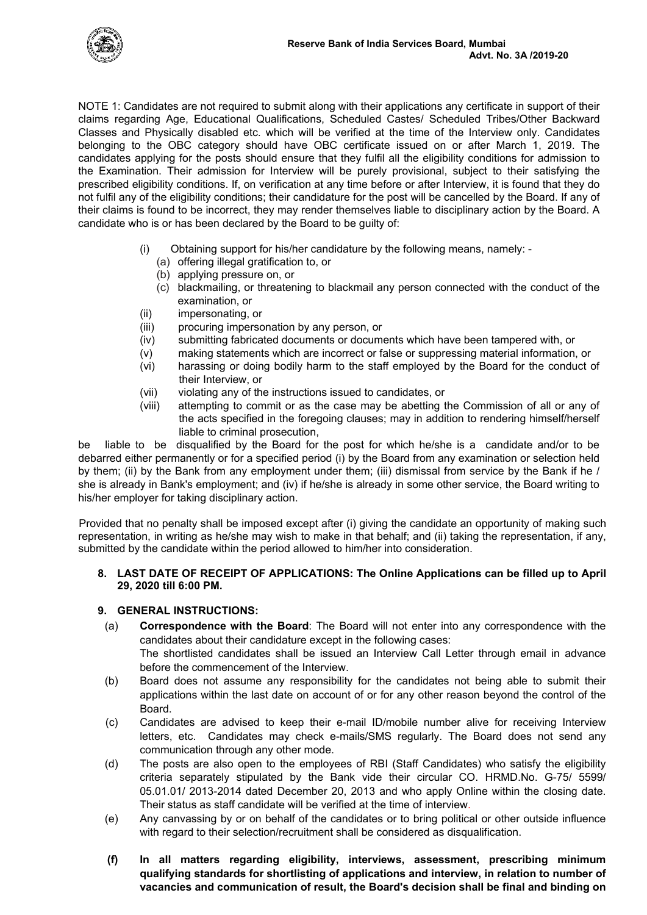

NOTE 1: Candidates are not required to submit along with their applications any certificate in support of their claims regarding Age, Educational Qualifications, Scheduled Castes/ Scheduled Tribes/Other Backward Classes and Physically disabled etc. which will be verified at the time of the Interview only. Candidates belonging to the OBC category should have OBC certificate issued on or after March 1, 2019. The candidates applying for the posts should ensure that they fulfil all the eligibility conditions for admission to the Examination. Their admission for Interview will be purely provisional, subject to their satisfying the prescribed eligibility conditions. If, on verification at any time before or after Interview, it is found that they do not fulfil any of the eligibility conditions; their candidature for the post will be cancelled by the Board. If any of their claims is found to be incorrect, they may render themselves liable to disciplinary action by the Board. A candidate who is or has been declared by the Board to be guilty of:

- (i) Obtaining support for his/her candidature by the following means, namely:
	- (a) offering illegal gratification to, or
	- (b) applying pressure on, or
	- (c) blackmailing, or threatening to blackmail any person connected with the conduct of the examination, or
- (ii) impersonating, or
- (iii) procuring impersonation by any person, or
- (iv) submitting fabricated documents or documents which have been tampered with, or
- (v) making statements which are incorrect or false or suppressing material information, or
- (vi) harassing or doing bodily harm to the staff employed by the Board for the conduct of their Interview, or
- (vii) violating any of the instructions issued to candidates, or
- (viii) attempting to commit or as the case may be abetting the Commission of all or any of the acts specified in the foregoing clauses; may in addition to rendering himself/herself liable to criminal prosecution,

be liable to be disqualified by the Board for the post for which he/she is a candidate and/or to be debarred either permanently or for a specified period (i) by the Board from any examination or selection held by them; (ii) by the Bank from any employment under them; (iii) dismissal from service by the Bank if he / she is already in Bank's employment; and (iv) if he/she is already in some other service, the Board writing to his/her employer for taking disciplinary action.

 Provided that no penalty shall be imposed except after (i) giving the candidate an opportunity of making such representation, in writing as he/she may wish to make in that behalf; and (ii) taking the representation, if any, submitted by the candidate within the period allowed to him/her into consideration.

### **8. LAST DATE OF RECEIPT OF APPLICATIONS: The Online Applications can be filled up to April 29, 2020 till 6:00 PM.**

### **9. GENERAL INSTRUCTIONS:**

- (a) **Correspondence with the Board**: The Board will not enter into any correspondence with the candidates about their candidature except in the following cases: The shortlisted candidates shall be issued an Interview Call Letter through email in advance before the commencement of the Interview.
- (b) Board does not assume any responsibility for the candidates not being able to submit their applications within the last date on account of or for any other reason beyond the control of the Board.
- (c) Candidates are advised to keep their e-mail ID/mobile number alive for receiving Interview letters, etc. Candidates may check e-mails/SMS regularly. The Board does not send any communication through any other mode.
- (d) The posts are also open to the employees of RBI (Staff Candidates) who satisfy the eligibility criteria separately stipulated by the Bank vide their circular CO. HRMD.No. G-75/ 5599/ 05.01.01/ 2013-2014 dated December 20, 2013 and who apply Online within the closing date. Their status as staff candidate will be verified at the time of interview.
- (e) Any canvassing by or on behalf of the candidates or to bring political or other outside influence with regard to their selection/recruitment shall be considered as disqualification.
- **(f) In all matters regarding eligibility, interviews, assessment, prescribing minimum qualifying standards for shortlisting of applications and interview, in relation to number of vacancies and communication of result, the Board's decision shall be final and binding on**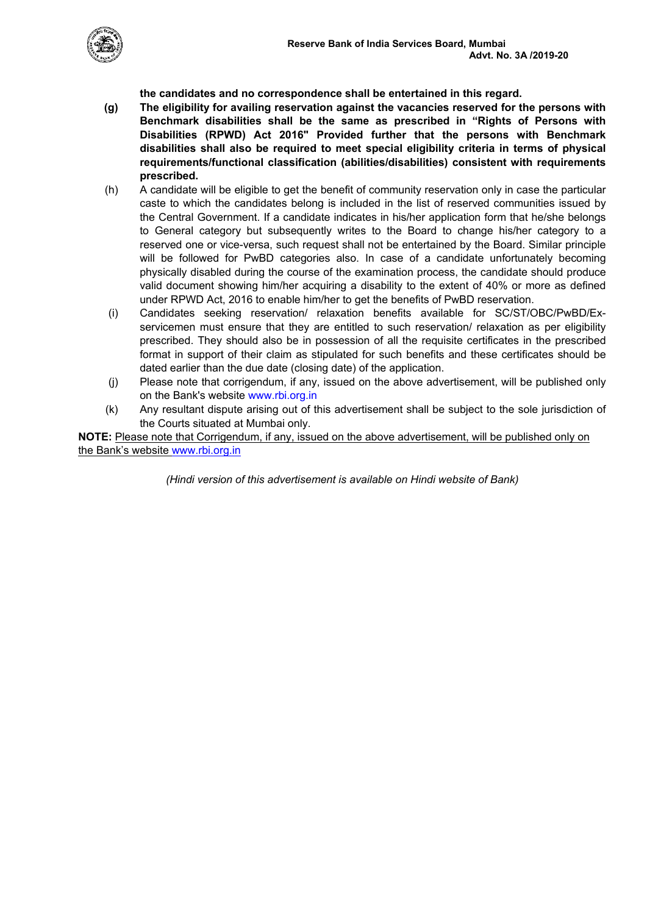

**the candidates and no correspondence shall be entertained in this regard.**

- **(g) The eligibility for availing reservation against the vacancies reserved for the persons with Benchmark disabilities shall be the same as prescribed in "Rights of Persons with Disabilities (RPWD) Act 2016" Provided further that the persons with Benchmark disabilities shall also be required to meet special eligibility criteria in terms of physical requirements/functional classification (abilities/disabilities) consistent with requirements prescribed.**
- (h) A candidate will be eligible to get the benefit of community reservation only in case the particular caste to which the candidates belong is included in the list of reserved communities issued by the Central Government. If a candidate indicates in his/her application form that he/she belongs to General category but subsequently writes to the Board to change his/her category to a reserved one or vice-versa, such request shall not be entertained by the Board. Similar principle will be followed for PwBD categories also. In case of a candidate unfortunately becoming physically disabled during the course of the examination process, the candidate should produce valid document showing him/her acquiring a disability to the extent of 40% or more as defined under RPWD Act, 2016 to enable him/her to get the benefits of PwBD reservation.
- (i) Candidates seeking reservation/ relaxation benefits available for SC/ST/OBC/PwBD/Exservicemen must ensure that they are entitled to such reservation/ relaxation as per eligibility prescribed. They should also be in possession of all the requisite certificates in the prescribed format in support of their claim as stipulated for such benefits and these certificates should be dated earlier than the due date (closing date) of the application.
- (j) Please note that corrigendum, if any, issued on the above advertisement, will be published only on the Bank's website [www.rbi.org.in](https://www.rbi.org.in/)
- (k) Any resultant dispute arising out of this advertisement shall be subject to the sole jurisdiction of the Courts situated at Mumbai only.

**NOTE:** Please note that Corrigendum, if any, issued on the above advertisement, will be published only on the Bank's website [www.rbi.org.in](https://www.rbi.org.in/)

*(Hindi version of this advertisement is available on Hindi website of Bank)*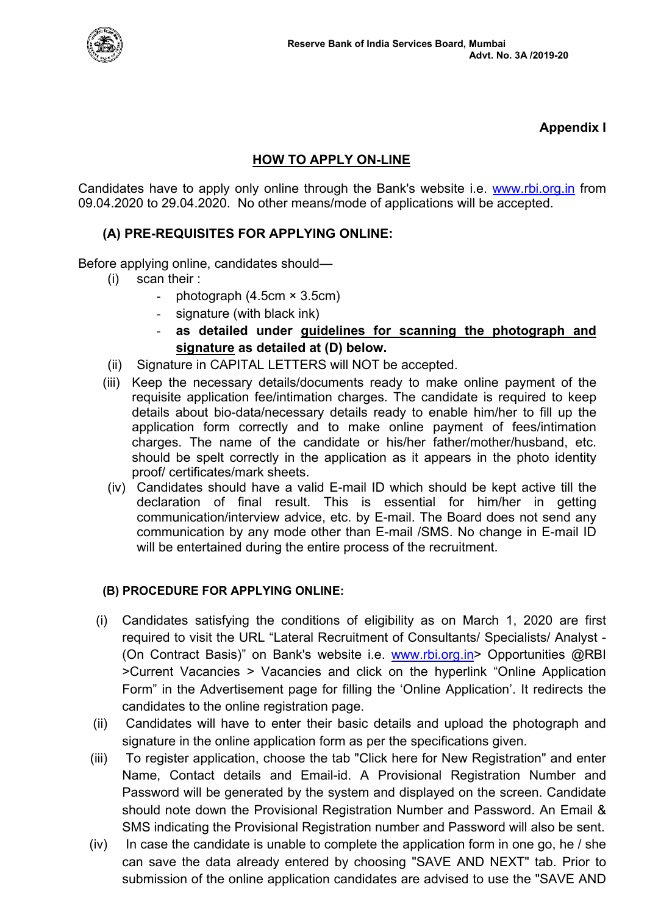

**Appendix I** 

# **HOW TO APPLY ON-LINE**

<span id="page-15-0"></span>Candidates have to apply only online through the Bank's website i.e. [www.rbi.org.in](https://www.rbi.org.in/) from 09.04.2020 to 29.04.2020. No other means/mode of applications will be accepted.

# **(A) PRE-REQUISITES FOR APPLYING ONLINE:**

Before applying online, candidates should—

- (i) scan their :
	- photograph (4.5cm × 3.5cm)
	- signature (with black ink)
	- **as detailed under guidelines for scanning the photograph and signature as detailed at (D) below.**
- (ii) Signature in CAPITAL LETTERS will NOT be accepted.
- (iii) Keep the necessary details/documents ready to make online payment of the requisite application fee/intimation charges. The candidate is required to keep details about bio-data/necessary details ready to enable him/her to fill up the application form correctly and to make online payment of fees/intimation charges. The name of the candidate or his/her father/mother/husband, etc. should be spelt correctly in the application as it appears in the photo identity proof/ certificates/mark sheets.
- (iv) Candidates should have a valid E-mail ID which should be kept active till the declaration of final result. This is essential for him/her in getting communication/interview advice, etc. by E-mail. The Board does not send any communication by any mode other than E-mail /SMS. No change in E-mail ID will be entertained during the entire process of the recruitment.

## **(B) PROCEDURE FOR APPLYING ONLINE:**

- (i) Candidates satisfying the conditions of eligibility as on March 1, 2020 are first required to visit the URL "Lateral Recruitment of Consultants/ Specialists/ Analyst - (On Contract Basis)" on Bank's website i.e. [www.rbi.org.in>](https://www.rbi.org.in/) Opportunities @RBI >Current Vacancies > Vacancies and click on the hyperlink "Online Application Form" in the Advertisement page for filling the 'Online Application'. It redirects the candidates to the online registration page.
- (ii) Candidates will have to enter their basic details and upload the photograph and signature in the online application form as per the specifications given.
- (iii) To register application, choose the tab "Click here for New Registration" and enter Name, Contact details and Email-id. A Provisional Registration Number and Password will be generated by the system and displayed on the screen. Candidate should note down the Provisional Registration Number and Password. An Email & SMS indicating the Provisional Registration number and Password will also be sent.
- (iv) In case the candidate is unable to complete the application form in one go, he / she can save the data already entered by choosing "SAVE AND NEXT" tab. Prior to submission of the online application candidates are advised to use the "SAVE AND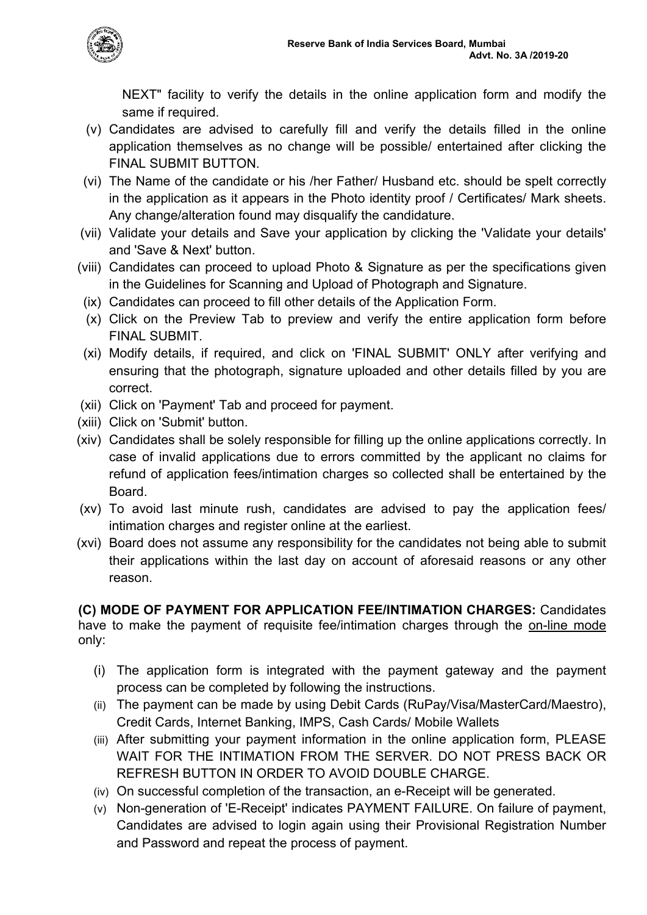

NEXT" facility to verify the details in the online application form and modify the same if required.

- (v) Candidates are advised to carefully fill and verify the details filled in the online application themselves as no change will be possible/ entertained after clicking the FINAL SUBMIT BUTTON.
- (vi) The Name of the candidate or his /her Father/ Husband etc. should be spelt correctly in the application as it appears in the Photo identity proof / Certificates/ Mark sheets. Any change/alteration found may disqualify the candidature.
- (vii) Validate your details and Save your application by clicking the 'Validate your details' and 'Save & Next' button.
- (viii) Candidates can proceed to upload Photo & Signature as per the specifications given in the Guidelines for Scanning and Upload of Photograph and Signature.
- (ix) Candidates can proceed to fill other details of the Application Form.
- (x) Click on the Preview Tab to preview and verify the entire application form before FINAL SUBMIT.
- (xi) Modify details, if required, and click on 'FINAL SUBMIT' ONLY after verifying and ensuring that the photograph, signature uploaded and other details filled by you are correct.
- (xii) Click on 'Payment' Tab and proceed for payment.
- (xiii) Click on 'Submit' button.
- (xiv) Candidates shall be solely responsible for filling up the online applications correctly. In case of invalid applications due to errors committed by the applicant no claims for refund of application fees/intimation charges so collected shall be entertained by the Board.
- (xv) To avoid last minute rush, candidates are advised to pay the application fees/ intimation charges and register online at the earliest.
- (xvi) Board does not assume any responsibility for the candidates not being able to submit their applications within the last day on account of aforesaid reasons or any other reason.

**(C) MODE OF PAYMENT FOR APPLICATION FEE/INTIMATION CHARGES:** Candidates have to make the payment of requisite fee/intimation charges through the on-line mode only:

- (i) The application form is integrated with the payment gateway and the payment process can be completed by following the instructions.
- (ii) The payment can be made by using Debit Cards (RuPay/Visa/MasterCard/Maestro), Credit Cards, Internet Banking, IMPS, Cash Cards/ Mobile Wallets
- (iii) After submitting your payment information in the online application form, PLEASE WAIT FOR THE INTIMATION FROM THE SERVER. DO NOT PRESS BACK OR REFRESH BUTTON IN ORDER TO AVOID DOUBLE CHARGE.
- (iv) On successful completion of the transaction, an e-Receipt will be generated.
- (v) Non-generation of 'E-Receipt' indicates PAYMENT FAILURE. On failure of payment, Candidates are advised to login again using their Provisional Registration Number and Password and repeat the process of payment.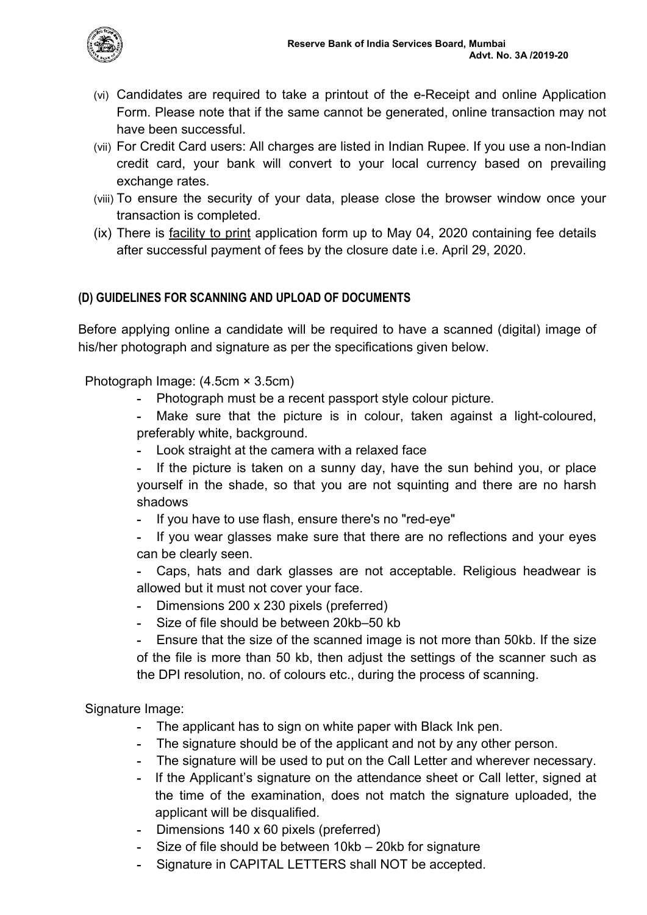- (vi) Candidates are required to take a printout of the e-Receipt and online Application Form. Please note that if the same cannot be generated, online transaction may not have been successful.
- (vii) For Credit Card users: All charges are listed in Indian Rupee. If you use a non-Indian credit card, your bank will convert to your local currency based on prevailing exchange rates.
- (viii) To ensure the security of your data, please close the browser window once your transaction is completed.
- (ix) There is facility to print application form up to May 04, 2020 containing fee details after successful payment of fees by the closure date i.e. April 29, 2020.

# **(D) GUIDELINES FOR SCANNING AND UPLOAD OF DOCUMENTS**

Before applying online a candidate will be required to have a scanned (digital) image of his/her photograph and signature as per the specifications given below.

Photograph Image: (4.5cm × 3.5cm)

- **-** Photograph must be a recent passport style colour picture.
- **-** Make sure that the picture is in colour, taken against a light-coloured, preferably white, background.
- **-** Look straight at the camera with a relaxed face
- **-** If the picture is taken on a sunny day, have the sun behind you, or place yourself in the shade, so that you are not squinting and there are no harsh shadows
- **-** If you have to use flash, ensure there's no "red-eye"
- **-** If you wear glasses make sure that there are no reflections and your eyes can be clearly seen.
- **-** Caps, hats and dark glasses are not acceptable. Religious headwear is allowed but it must not cover your face.
- **-** Dimensions 200 x 230 pixels (preferred)
- **-** Size of file should be between 20kb–50 kb
- **-** Ensure that the size of the scanned image is not more than 50kb. If the size of the file is more than 50 kb, then adjust the settings of the scanner such as the DPI resolution, no. of colours etc., during the process of scanning.

Signature Image:

- **-** The applicant has to sign on white paper with Black Ink pen.
- **-** The signature should be of the applicant and not by any other person.
- **-** The signature will be used to put on the Call Letter and wherever necessary.
- **-** If the Applicant's signature on the attendance sheet or Call letter, signed at the time of the examination, does not match the signature uploaded, the applicant will be disqualified.
- **-** Dimensions 140 x 60 pixels (preferred)
- **-** Size of file should be between 10kb 20kb for signature
- **-** Signature in CAPITAL LETTERS shall NOT be accepted.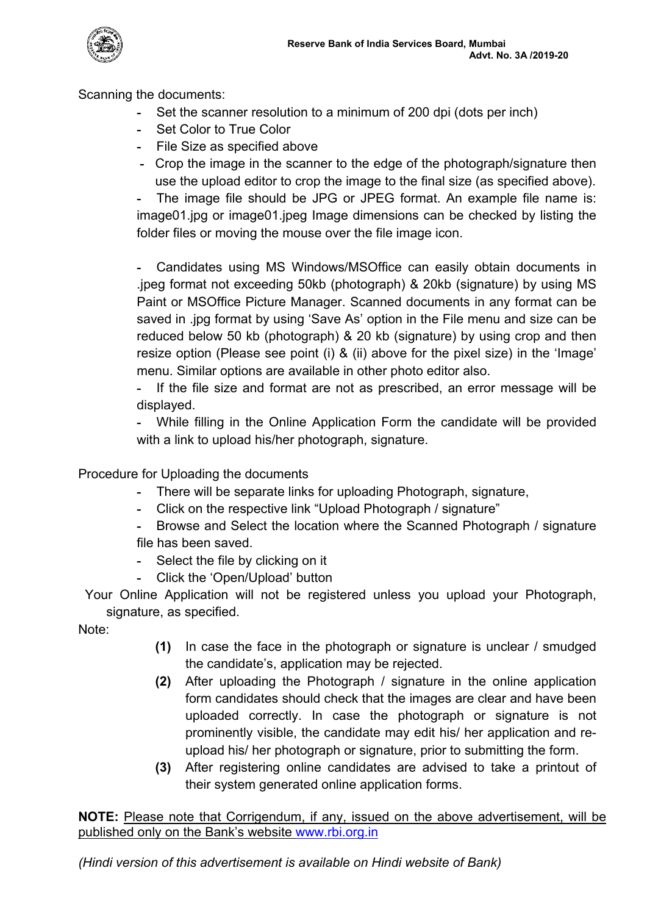

Scanning the documents:

- **-** Set the scanner resolution to a minimum of 200 dpi (dots per inch)
- **-** Set Color to True Color
- **-** File Size as specified above
- **-** Crop the image in the scanner to the edge of the photograph/signature then use the upload editor to crop the image to the final size (as specified above).

**-** The image file should be JPG or JPEG format. An example file name is: image01.jpg or image01.jpeg Image dimensions can be checked by listing the folder files or moving the mouse over the file image icon.

**-** Candidates using MS Windows/MSOffice can easily obtain documents in .jpeg format not exceeding 50kb (photograph) & 20kb (signature) by using MS Paint or MSOffice Picture Manager. Scanned documents in any format can be saved in .jpg format by using 'Save As' option in the File menu and size can be reduced below 50 kb (photograph) & 20 kb (signature) by using crop and then resize option (Please see point (i) & (ii) above for the pixel size) in the 'Image' menu. Similar options are available in other photo editor also.

**-** If the file size and format are not as prescribed, an error message will be displayed.

**-** While filling in the Online Application Form the candidate will be provided with a link to upload his/her photograph, signature.

Procedure for Uploading the documents

- **-** There will be separate links for uploading Photograph, signature,
- **-** Click on the respective link "Upload Photograph / signature"

**-** Browse and Select the location where the Scanned Photograph / signature file has been saved.

- **-** Select the file by clicking on it
- **-** Click the 'Open/Upload' button

Your Online Application will not be registered unless you upload your Photograph, signature, as specified.

Note:

- **(1)** In case the face in the photograph or signature is unclear / smudged the candidate's, application may be rejected.
- **(2)** After uploading the Photograph / signature in the online application form candidates should check that the images are clear and have been uploaded correctly. In case the photograph or signature is not prominently visible, the candidate may edit his/ her application and reupload his/ her photograph or signature, prior to submitting the form.
- **(3)** After registering online candidates are advised to take a printout of their system generated online application forms.

**NOTE:** Please note that Corrigendum, if any, issued on the above advertisement, will be published only on the Bank's website [www.rbi.org.in](https://www.rbi.org.in/)

*(Hindi version of this advertisement is available on Hindi website of Bank)*